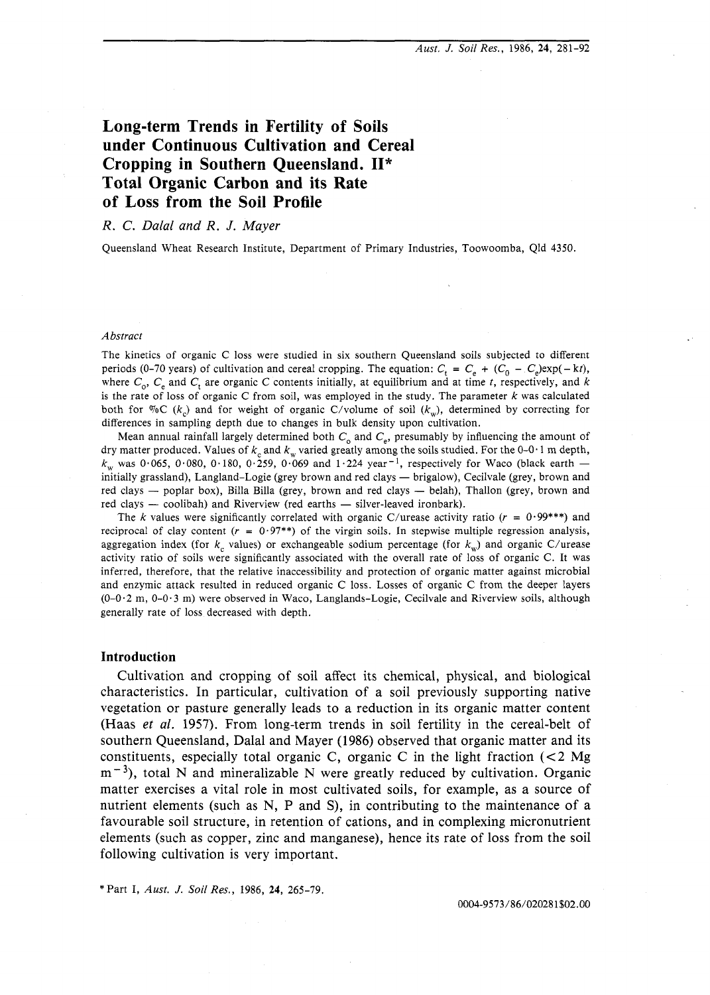# **Long-term Trends in Fertility of Soils under Continuous Cultivation and Cereal Cropping in Southern Queensland. 11\* Total Organic Carbon and its Rate of Loss from the Soil Profile**

# *R. C. Dalal and R. J. Mayer*

Queensland Wheat Research Institute, Department of Primary Industries, Toowoomba, Qld 4350.

#### Abstract

The kinetics of organic C loss were studied in six southern Queensland soils subjected to different periods (0-70 years) of cultivation and cereal cropping. The equation:  $C_t = C_e + (C_0 - C_e) \exp(-kt)$ , where  $C_0$ ,  $C_e$  and  $C_t$  are organic C contents initially, at equilibrium and at time *t*, respectively, and k is the rate of loss of organic C from soil, was employed in the study. The parameter k was calculated both for  $\mathcal{C}_0$  ( $k_c$ ) and for weight of organic C/volume of soil ( $k_w$ ), determined by correcting for differences in sampling depth due to changes in bulk density upon cultivation.

Mean annual rainfall largely determined both  $C_0$  and  $C_e$ , presumably by influencing the amount of Mean annuan raintan largery determined both  $C_0$  and  $C_e$ , presumably by immediating the amount of dry matter produced. Values of  $k_c$  and  $k_w$  varied greatly among the soils studied. For the 0-0.1 m depth,  $k_w$  was 0.06  $k_{\rm w}$  was 0.065, 0.080, 0.180, 0.259, 0.069 and 1.224 year<sup>-1</sup>, respectively for Waco (black earth – initially grassland), Langland–Logie (grey brown and red clays — brigalow), Cecilvale (grey, brown and red clays — poplar box), Billa Billa (grey, brown and red clays — belah), Thallon (grey, brown and red clays — cooliba red clays - poplar box), Billa Billa (grey, brown and red clays - belah), Thallon (grey, brown and

The k values were significantly correlated with organic C/urease activity ratio ( $r = 0.99$ \*\*\*) and reciprocal of clay content ( $r = 0.97$ \*\*) of the virgin soils. In stepwise multiple regression analysis, aggregation index (for  $k_c$  values) or exchangeable sodium percentage (for  $k_w$ ) and organic C/urease activity ratio of soils were significantly associated with the overall rate of loss of organic C. It was inferred, therefore, that the relative inaccessibility and protection of organic matter against microbial and enzymic attack resulted in reduced organic C loss. Losses of organic C from the deeper layers (0-0.2 m, 0-0.3 m) were observed in Waco, Langlands-Logie, Cecilvale and Riverview soils, although generally rate of loss decreased with depth.

#### **Introduction**

Cultivation and cropping of soil affect its chemical, physical, and biological characteristics. In particular, cultivation of a soil previously supporting native vegetation or pasture generally leads to a reduction in its organic matter content (Haas *et* al. 1957). From long-term trends in soil fertility in the cereal-belt of southern Queensland, Dalal and Mayer (1986) observed that organic matter and its constituents, especially total organic C, organic C in the light fraction  $\ll 2$  Mg  $m^{-3}$ ), total N and mineralizable N were greatly reduced by cultivation. Organic matter exercises a vital role in most cultivated soils, for example, as a source of nutrient elements (such as N, P and S), in contributing to the maintenance of a favourable soil structure, in retention of cations, and in complexing micronutrient elements (such as copper, zinc and manganese), hence its rate of loss from the soil following cultivation is very important.

\* Part I, Aust. *J.* **Soil** Res., 1986, **24,** 265-79.

0004-9573/86/020281\$02.00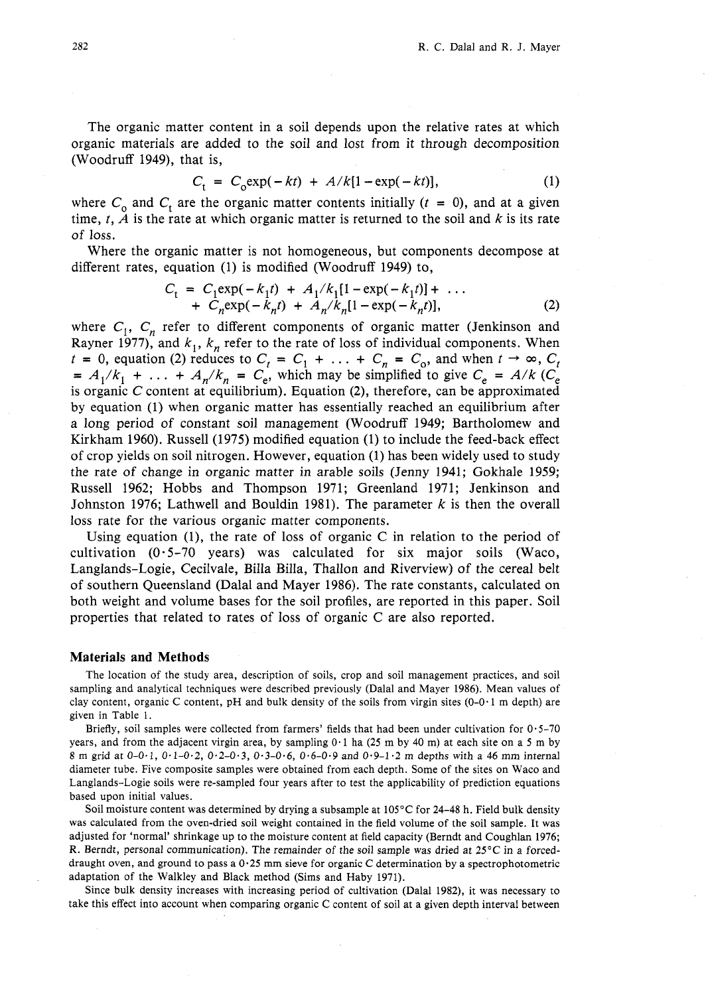The organic matter content in a soil depends upon the relative rates at which organic materials are added to the soil and lost from it through decomposition (Woodruff 1949), that is,

$$
C_t = C_0 \exp(-kt) + A/k[1 - \exp(-kt)],
$$
 (1)

where  $C_0$  and  $C_t$  are the organic matter contents initially  $(t = 0)$ , and at a given time,  $t$ ,  $\overline{A}$  is the rate at which organic matter is returned to the soil and  $k$  is its rate of loss.

Where the organic matter is not homogeneous, but components decompose at different rates, equation (1) is modified (Woodruff 1949) to,

$$
C_{t} = C_{1} \exp(-k_{1}t) + A_{1}/k_{1}[1 - \exp(-k_{1}t)] + \dots + C_{n} \exp(-k_{n}t) + A_{n}/k_{n}[1 - \exp(-k_{n}t)],
$$
\n(2)

where  $C_1$ ,  $C_n$  refer to different components of organic matter (Jenkinson and Rayner 1977), and  $k_1$ ,  $k_n$  refer to the rate of loss of individual components. When  $t = 0$ , equation (2) reduces to  $C_t = C_1 + \ldots + C_n = C_0$ , and when  $t \to \infty$ ,  $C_t$  $= A_1/k_1 + \ldots + A_n/k_n = C_e$ , which may be simplified to give  $C_e = A/k (C_e)$ is organic C content at equilibrium). Equation **(2),** therefore, can be approximated by equation (1) when organic matter has essentially reached an equilibrium after a long period of constant soil management (Woodruff 1949; Bartholomew and Kirkham 1960). Russell (1975) modified equation (1) to include the feed-back effect of crop yields on soil nitrogen. However, equation (1) has been widely used to study the rate of change in organic matter in arable soils (Jenny 1941; Gokhale 1959; Russell 1962; Hobbs and Thompson 1971; Greenland 1971; Jenkinson and Johnston 1976; Lathwell and Bouldin 1981). The parameter  $k$  is then the overall loss rate for the various organic matter components.

Using equation (1), the rate of loss of organic C in relation to the period of cultivation (0-5-70 years) was calculated for six major soils (Waco, Langlands-Logie, Cecilvale, Billa Billa, Thallon and Riverview) of the cereal belt of southern Queensland (Dalal and Mayer 1986). The rate constants, calculated on both weight and volume bases for the soil profiles, are reported in this paper. Soil properties that related to rates of loss of organic C are also reported.

### **Materials and Methods**

The location of the study area, description of soils, crop and soil management practices, and soil sampling and analytical techniques were described previously (Dalal and Mayer 1986). Mean values of clay content, organic C content, pH and bulk density of the soils from virgin sites (0-0.1 m depth) are given in Table 1.

Briefly, soil samples were collected from farmers' fields that had been under cultivation for  $0.5-70$ years, and from the adjacent virgin area, by sampling 0.1 ha (25 m by 40 m) at each site on a 5 m by 8 m grid at 0-0 $\cdot$ 1, 0 $\cdot$ 1-0 $\cdot$ 2, 0 $\cdot$ 2-0 $\cdot$ 3, 0 $\cdot$ 3-0 $\cdot$ 6, 0 $\cdot$ 6-0 $\cdot$ 9 and 0 $\cdot$ 9-1 $\cdot$ 2 m depths with a 46 mm internal diameter tube. Five composite samples were obtained from each depth. Some of the sites on Waco and Langlands-Logie soils were re-sampled four years after to test the applicability of prediction equations based upon initial values.

Soil moisture content was determined by drying a subsample at 105°C for 24-48 h. Field bulk density was calculated from the oven-dried soil weight contained in the field volume of the soil sample. It was adjusted for 'normal' shrinkage up to the moisture content at field capacity (Berndt and Coughlan 1976; R. Berndt, personal communication). The remainder of the soil sample was dried at 25'C in a forceddraught oven, and ground to pass a  $0.25$  mm sieve for organic C determination by a spectrophotometric adaptation of the Walkley and Black method (Sims and Haby 1971).

Since bulk density increases with increasing period of cultivation (Dalal 1982), it was necessary to take this effect into account when comparing organic C content of soil at a given depth interval between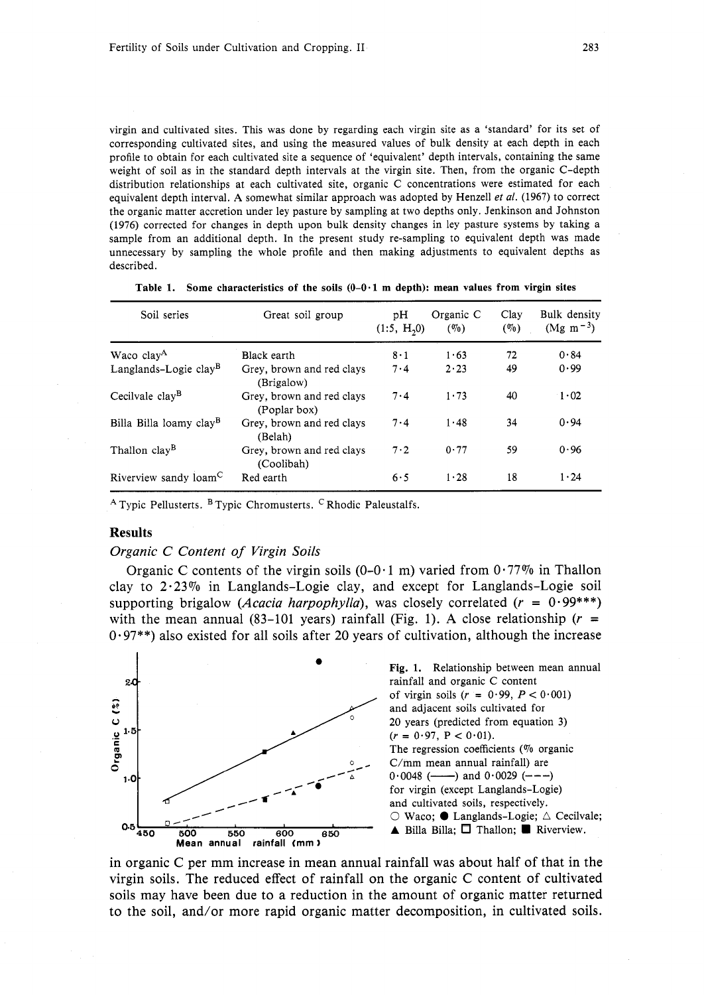virgin and cultivated sites. This was done by regarding each virgin site as a 'standard' for its set of corresponding cultivated sites, and using the measured values of bulk density at each depth in each profile to obtain for each cultivated site a sequence of 'equivalent' depth intervals, containing the same weight of soil as in the standard depth intervals at the virgin site. Then, from the organic C-depth distribution relationships at each cultivated site, organic C concentrations were estimated for each equivalent depth interval. **A** somewhat similar approach was adopted by Henzell *et al.* (1967) to correct the organic matter accretion under ley pasture by sampling at two depths only. Jenkinson and Johnston (1976) corrected for changes in depth upon bulk density changes in ley pasture systems by taking a sample from an additional depth. In the present study re-sampling to equivalent depth was made unnecessary by sampling the whole profile and then making adjustments to equivalent depths as described.

| Soil series                         | Great soil group                          | pΗ<br>(1:5, H <sub>2</sub> ) | Organic C<br>(0, 0) | Clay<br>$($ %) | Bulk density<br>$(Mg \; m^{-3})$ |  |
|-------------------------------------|-------------------------------------------|------------------------------|---------------------|----------------|----------------------------------|--|
| Waco clay <sup>A</sup>              | Black earth                               | $8 \cdot 1$                  | 1.63                | 72             | 0.84                             |  |
| Langlands-Logie clay <sup>B</sup>   | Grey, brown and red clays<br>(Brigalow)   | 7.4                          | $2 \cdot 23$        | 49             | 0.99                             |  |
| Cecilvale clay <sup>B</sup>         | Grev, brown and red clavs<br>(Poplar box) | 7.4                          | 1.73                | 40             | $\cdot$ 1 $\cdot$ 02             |  |
| Billa Billa loamy clay <sup>B</sup> | Grey, brown and red clays<br>(Belah)      | $7-4$                        | 1.48                | 34             | 0.94                             |  |
| Thallon clay <sup>B</sup>           | Grey, brown and red clays<br>(Coolibah)   | 7.2                          | 0.77                | 59             | 0.96                             |  |
| Riverview sandy loam <sup>C</sup>   | Red earth                                 | 6.5                          | 1.28                | 18             | $1 \cdot 24$                     |  |

**Table** 1. **Some characteristics of the soils** (0-0.1 **m depth): mean values from virgin sites** 

 $A$  Typic Pellusterts.  $B$  Typic Chromusterts. <sup>C</sup> Rhodic Paleustalfs.

# **Results**

### Organic C Content of Virgin Soils

Organic C contents of the virgin soils  $(0-0.1 \text{ m})$  varied from  $0.77\%$  in Thallon clay to  $2.23\%$  in Langlands-Logie clay, and except for Langlands-Logie soil supporting brigalow (*Acacia harpophylla*), was closely correlated ( $r = 0.99$ \*\*\*) with the mean annual (83-101 years) rainfall (Fig. 1). A close relationship ( $r =$  $0.97$ <sup>\*\*</sup>) also existed for all soils after 20 years of cultivation, although the increase



**<sup>0</sup>Fig.** 1. Relationship between mean annual rainfall and organic C content of virgin soils  $(r = 0.99, P < 0.001)$ and adjacent soils cultivated for 20 years (predicted from equation 3)  $(r = 0.97, P < 0.01)$ . The regression coefficients ( $\%$  organic C/mm mean annual rainfall) are  $0.0048$  (----) and  $0.0029$  (---) for virgin (except Langlands-Logie) The regression coefficients (% or C/mm mean annual rainfall) are<br>  $\frac{6}{4}$  C/mm mean annual rainfall) are<br>
for virgin (except Langlands–Log<br>
and cultivated soils, respectively.<br>  $\frac{1}{2}$  C Wacc; C Langlands–Log<br>  $\frac{1}{2$ and cultivated soils, respectively.<br> $\bigcirc$  Waco;  $\bullet$  Langlands-Logie;  $\bigtriangleup$  Cecilvale;

in organic C per mm increase in mean annual rainfall was about half of that in the virgin soils. The reduced effect of rainfall on the organic C content of cultivated soils may have been due to a reduction in the amount of organic matter returned to the soil, and/or more rapid organic matter decomposition, in cultivated soils.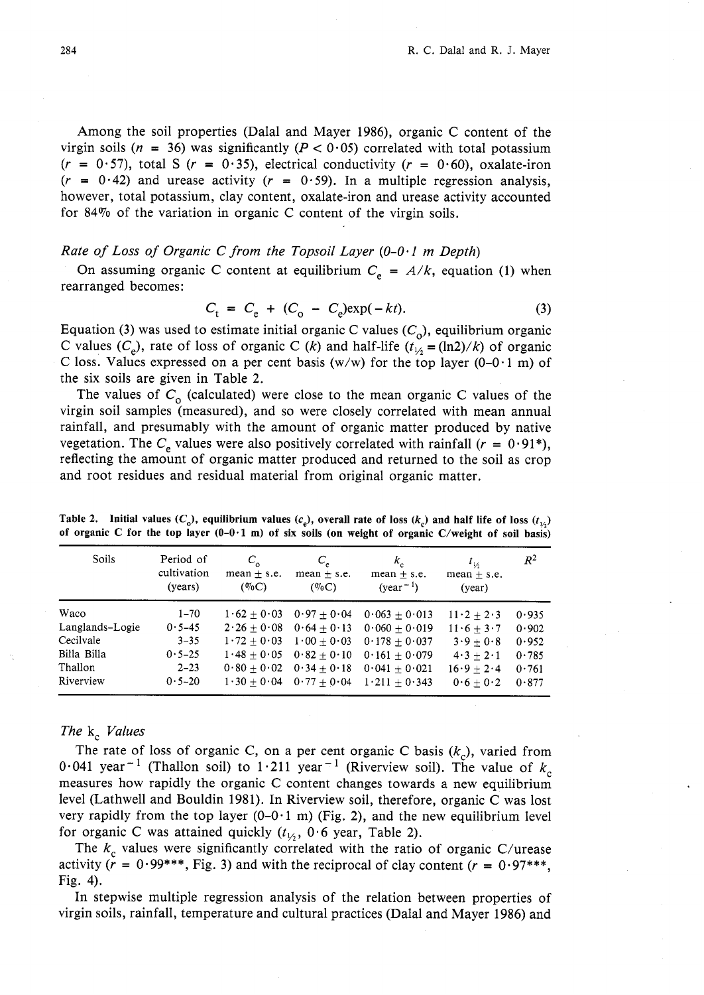Among the soil properties (Dalal and Mayer 1986), organic C content of the virgin soils ( $n = 36$ ) was significantly ( $P < 0.05$ ) correlated with total potassium  $(r = 0.57)$ , total S  $(r = 0.35)$ , electrical conductivity  $(r = 0.60)$ , oxalate-iron  $(r = 0.42)$  and urease activity  $(r = 0.59)$ . In a multiple regression analysis, however, total potassium, clay content, oxalate-iron and urease activity accounted for 84% of the variation in organic C content of the virgin soils.

# Rate of Loss of Organic C from the Topsoil Layer  $(0-0.1 \text{ m}$  Depth)

On assuming organic C content at equilibrium  $C_e = A/k$ , equation (1) when rearranged becomes:

$$
C_{t} = C_{e} + (C_{o} - C_{e}) \exp(-kt). \tag{3}
$$

Equation (3) was used to estimate initial organic C values  $(C_0)$ , equilibrium organic C values (C<sub>e</sub>), rate of loss of organic C (k) and half-life ( $t_{1/2} = (\ln 2)/k$ ) of organic C loss. Values expressed on a per cent basis (w/w) for the top layer (0-0 $\cdot$ 1 m) of the six soils are given in Table 2.

The values of  $C_0$  (calculated) were close to the mean organic C values of the virgin soil samples (measured), and so were closely correlated with mean annual rainfall, and presumably with the amount of organic matter produced by native vegetation. The  $C_e$  values were also positively correlated with rainfall ( $r = 0.91^*$ ), reflecting the amount of organic matter produced and returned to the soil as crop and root residues and residual material from original organic matter.

| Soils           | Period of<br>cultivation<br>(years) | $C_{\alpha}$<br>mean $\pm$ s.e.<br>$(\%C)$ | $C_{\epsilon}$<br>$mean + s.e.$<br>$(\%C)$          | $k_{c}$<br>mean $\pm$ s.e.<br>$(year^{-1})$ | $t_{1/2}$<br>$mean + s.e.$<br>(year) | $R^2$ |
|-----------------|-------------------------------------|--------------------------------------------|-----------------------------------------------------|---------------------------------------------|--------------------------------------|-------|
| Waco            | $1 - 70$                            | $1.62 + 0.03$                              | $0.97 + 0.04$                                       | $0.063 + 0.013$                             | $11 \cdot 2 + 2 \cdot 3$             | 0.935 |
| Langlands-Logie | $0.5 - 45$                          |                                            | $2 \cdot 26 + 0 \cdot 08$ $0 \cdot 64 + 0 \cdot 13$ | $0.060 + 0.019$                             | $11 \cdot 6 + 3 \cdot 7$             | 0.902 |
| Cecilvale       | $3 - 35$                            | $1.72 + 0.03$                              | $1 \cdot 00 + 0 \cdot 03$                           | $0.178 + 0.037$                             | $3.9+0.8$                            | 0.952 |
| Billa Billa     | $0.5 - 25$                          |                                            | $1.48 + 0.05$ $0.82 + 0.10$                         | $0.161 + 0.079$                             | $4 \cdot 3 + 2 \cdot 1$              | 0.785 |
| Thallon         | $2 - 23$                            |                                            | $0.80 + 0.02$ $0.34 + 0.18$                         | $0.041 + 0.021$                             | $16.9 + 2.4$                         | 0.761 |
| Riverview       | $0.5 - 20$                          |                                            | $1 \cdot 30 + 0 \cdot 04$ $0 \cdot 77 + 0 \cdot 04$ | $1 \cdot 211 + 0 \cdot 343$                 | $0.6 + 0.2$                          | 0.877 |

**Table 2.** Initial values  $(C_0)$ , equilibrium values  $(c_n)$ , overall rate of loss  $(k_n)$  and half life of loss  $(t_{1/2})$ **of organic C for the top layer (0-0-1 m) of six soils (on weight of organic C/weight of soil basis)** 

# The  $k_c$  Values

The rate of loss of organic C, on a per cent organic C basis  $(k<sub>c</sub>)$ , varied from 0.041 year<sup>-1</sup> (Thallon soil) to 1.211 year<sup>-1</sup> (Riverview soil). The value of  $k<sub>c</sub>$ measures how rapidly the organic C content changes towards a new equilibrium level (Lathwell and Bouldin 1981). In Riverview soil, therefore, organic C was lost very rapidly from the top layer  $(0-0.1 \text{ m})$  (Fig. 2), and the new equilibrium level for organic C was attained quickly  $(t_{1/2}, 0.6$  year, Table 2).

The  $k_c$  values were significantly correlated with the ratio of organic C/urease activity ( $r = 0.99$ \*\*\*, Fig. 3) and with the reciprocal of clay content ( $r = 0.97$ \*\*\*, Fig. 4).

In stepwise multiple regression analysis of the relation between properties of virgin soils, rainfall, temperature and cultural practices (Dalal and Mayer 1986) and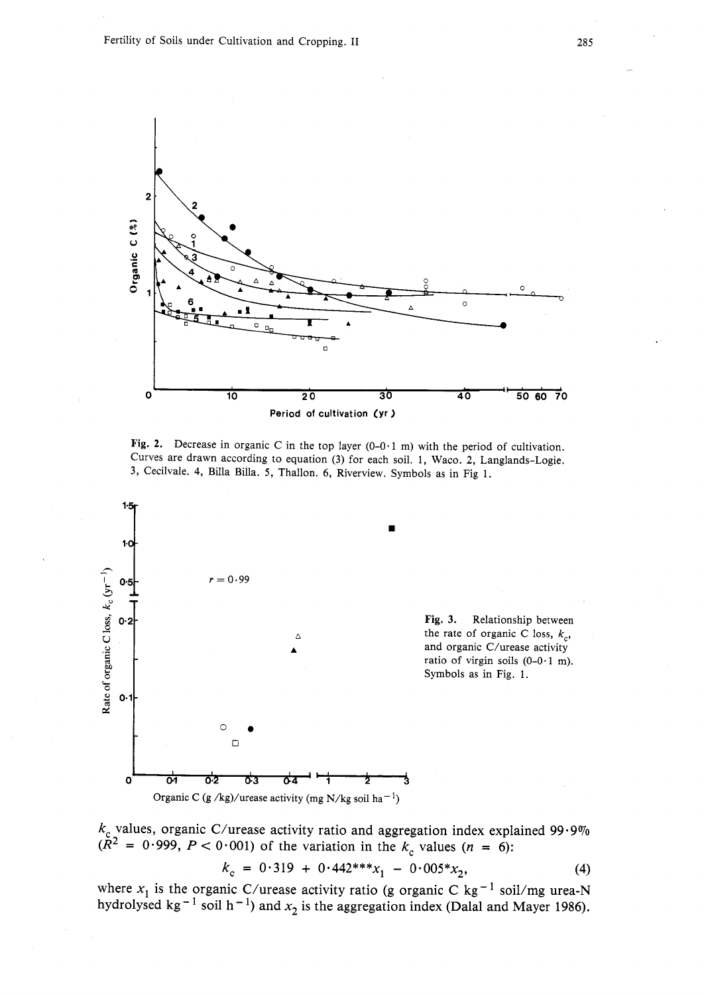

**Fig. 2.** Decrease in organic C in the top layer (0-0.1 m) with the period of cultivation. Curves are drawn according to equation **(3)** for each soil. 1, Waco. **2,** Langlands-Logie. **3,** Cecilvaie. **4,** Billa Billa. 5, Thallon. *6,* Riverview. Symbols as in Fig 1.



 $k_c$  values, organic C/urease activity ratio and aggregation index explained 99.9%  $\tilde{R}^2$  = 0.999, P < 0.001) of the variation in the  $k_c$  values (n = 6):

$$
k_c = 0.319 + 0.442^{***}x_1 - 0.005^*x_2,
$$
 (4)

where  $x_1$  is the organic C/urease activity ratio (g organic C kg<sup>-1</sup> soil/mg urea-N ydrolysed kg<sup>-1</sup> soil h<sup>-1</sup>) and  $x_2$  is the aggregation index (Dalal and Mayer 1986).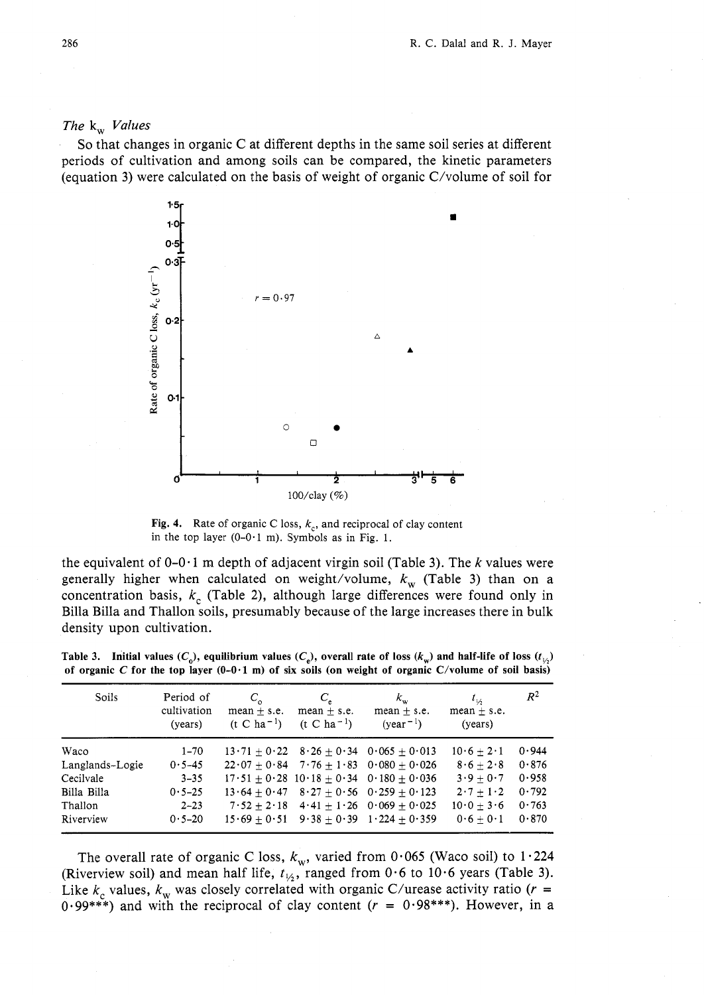# *The* **k**<sub>w</sub> *Values*

So that changes in organic C at different depths in the same soil series at different periods of cultivation and among soils can be compared, the kinetic parameters (equation 3) were calculated on the basis of weight of organic C/volume of soil for



**Fig. 4.** Rate of organic C loss,  $k_c$ , and reciprocal of clay content in the top layer  $(0-0.1 \text{ m})$ . Symbols as in Fig. 1.

the equivalent of  $0-0.1$  m depth of adjacent virgin soil (Table 3). The k values were generally higher when calculated on weight/volume,  $k_{w}$  (Table 3) than on a concentration basis,  $k_c$  (Table 2), although large differences were found only in Billa Billa and Thallon soils, presumably because of the large increases there in bulk density upon cultivation.

| Soils           | Period of<br>cultivation<br>(years) | $C_{\alpha}$<br>$mean + s.e.$<br>$(t C ha^{-1})$ | $C_{\epsilon}$<br>$mean + s.e.$<br>$(t C ha^{-1})$ | $k_{w}$<br>$mean + s.e.$<br>$(year-1)$        | $t_{\nu_2}$<br>mean $\pm$ s.e.<br>(years) | $R^2$ |
|-----------------|-------------------------------------|--------------------------------------------------|----------------------------------------------------|-----------------------------------------------|-------------------------------------------|-------|
| Waco            | $1 - 70$                            |                                                  |                                                    | $13.71 + 0.22$ $8.26 + 0.34$ $0.065 + 0.013$  | $10.6 + 2.1$                              | 0.944 |
| Langlands-Logie | $0.5 - 45$                          |                                                  |                                                    | $22.07 + 0.84$ $7.76 + 1.83$ $0.080 + 0.026$  | $8.6+2.8$                                 | 0.876 |
| Cecilvale       | $3 - 35$                            |                                                  |                                                    | $17.51 + 0.28$ $10.18 + 0.34$ $0.180 + 0.036$ | $3.9 + 0.7$                               | 0.958 |
| Billa Billa     | $0.5 - 25$                          | $13.64 + 0.47$                                   |                                                    | $8.27 + 0.56$ $0.259 + 0.123$                 | $2 \cdot 7 + 1 \cdot 2$                   | 0.792 |
| Thallon         | $2 - 23$                            | $7.52 + 2.18$                                    |                                                    | $4.41 + 1.26$ 0.069 + 0.025                   | $10\cdot 0 + 3\cdot 6$                    | 0.763 |
| Riverview       | $0.5 - 20$                          | $15.69 + 0.51$                                   |                                                    | $9.38 + 0.39$ $1.224 + 0.359$                 | $0.6 + 0.1$                               | 0.870 |

**Table 3.** Initial values  $(C_{\alpha})$ , equilibrium values  $(C_{\alpha})$ , overall rate of loss  $(k_{\alpha})$  and half-life of loss  $(t_{14})$ **of organic** *C* **for the top layer (0-0.1 m) of six soils (on weight of organic C/volume of soil basis)** 

The overall rate of organic C loss,  $k_{w}$ , varied from 0.065 (Waco soil) to 1.224 (Riverview soil) and mean half life,  $t_{1/2}$ , ranged from 0.6 to 10.6 years (Table 3). Like  $k_c$  values,  $k_w$  was closely correlated with organic C/urease activity ratio ( $r =$ 0.99\*\*\*) and with the reciprocal of clay content ( $r = 0.98$ \*\*\*). However, in a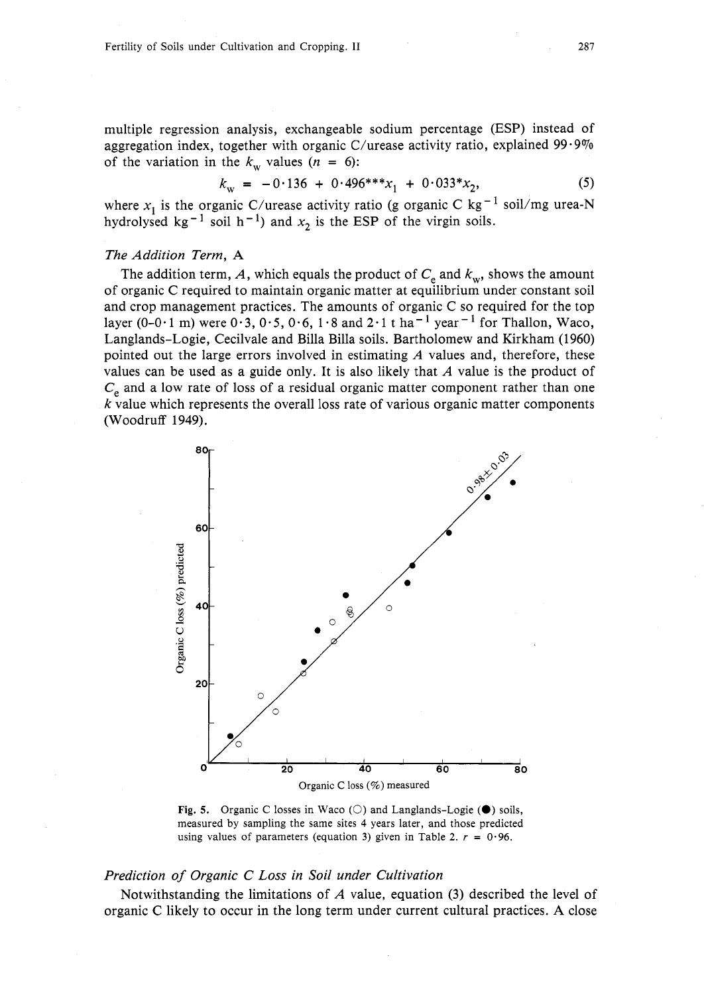multiple regression analysis, exchangeable sodium percentage (ESP) instead of aggregation index, together with organic C/urease activity ratio, explained  $99.9\%$ of the variation in the  $k_w$  values ( $n = 6$ ):

$$
k_{\rm w} = -0.136 + 0.496^{***}x_1 + 0.033*x_2,\tag{5}
$$

where  $x_1$  is the organic C/urease activity ratio (g organic C kg<sup>-1</sup> soil/mg urea-N hydrolysed kg<sup>-1</sup> soil h<sup>-1</sup>) and  $x_2$  is the ESP of the virgin soils.

### The Addition Term, **A**

The addition term, A, which equals the product of  $C_e$  and  $k_w$ , shows the amount of organic C required to maintain organic matter at equilibrium under constant soil and crop management practices. The amounts of organic C so required for the top layer (0-0.1 m) were  $0.3$ ,  $0.5$ ,  $0.6$ ,  $1.8$  and  $2.1$  t ha<sup>-1</sup> year<sup>-1</sup> for Thallon, Waco, Langlands-Logie, Cecilvale and Billa Billa soils. Bartholomew and Kirkham (1960) pointed out the large errors involved in estimating  $\vec{A}$  values and, therefore, these values can be used as a guide only. It is also likely that  $A$  value is the product of  $C_e$  and a low rate of loss of a residual organic matter component rather than one  $k$  value which represents the overall loss rate of various organic matter components (Woodruff 1949).



**Fig. 5.** Organic C losses in Waco ( $\bigcirc$ ) and Langlands-Logie ( $\bigcirc$ ) soils, measured by sampling the same sites 4 years later, and those predicted using values of parameters (equation 3) given in Table 2.  $r = 0.96$ .

# Prediction of Organic C Loss in Soil under Cultivation

Notwithstanding the limitations of  $\vec{A}$  value, equation (3) described the level of organic *C* likely to occur in the long term under current cultural practices. **A** close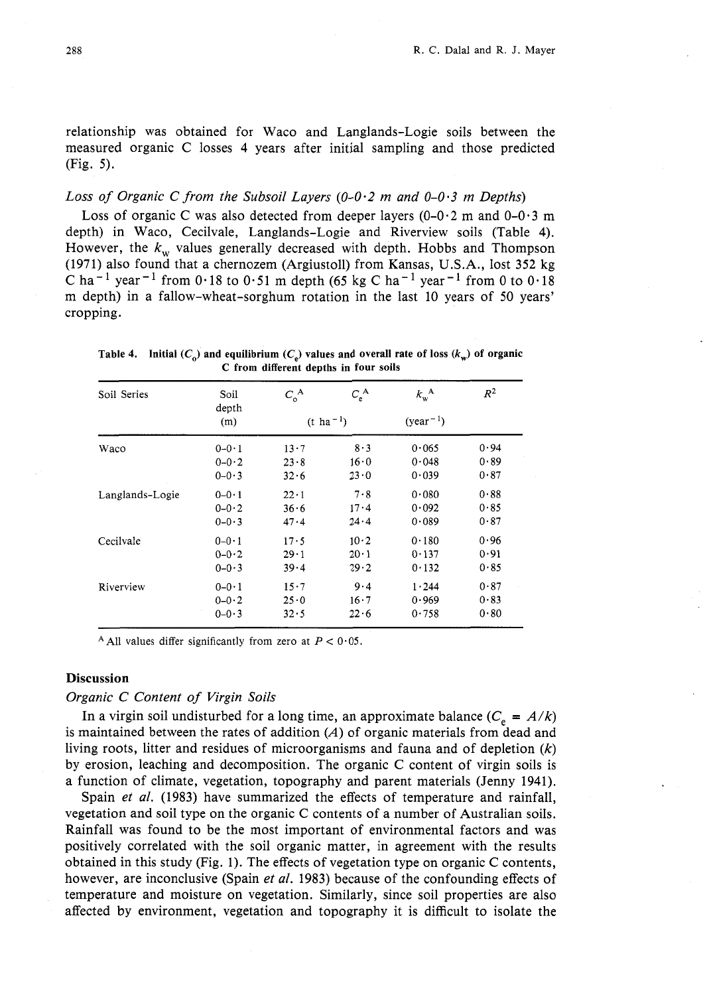relationship was obtained for Waco and Langlands-Logie soils between the measured organic C losses 4 years after initial sampling and those predicted (Fig. 5).

# Loss of Organic C from the Subsoil Layers (0-0.2 m and 0-0-3 **m** Depths)

Loss of organic C was also detected from deeper layers  $(0-0.2 \text{ m and } 0-0.3 \text{ m})$ depth) in Waco, Cecilvale, Langlands-Logie and Riverview soils (Table 4). However, the  $k_w$  values generally decreased with depth. Hobbs and Thompson (1971) also found that a chernozem (Argiustoll) from Kansas, U.S.A., lost 352 kg *C* ha<sup>-1</sup> year<sup>-1</sup> from 0.18 to 0.51 m depth (65 kg C ha<sup>-1</sup> year<sup>-1</sup> from 0 to 0.18 m depth) in a fallow-wheat-sorghum rotation in the last 10 years of 50 years' cropping.

| Soil Series     | Soil<br>depth | $C_{\rm o}^{\rm A}$   | $C_{\rm e}^{\rm A}$ | $k_{\rm w}^{\rm A}$ | $R^2$ |  |
|-----------------|---------------|-----------------------|---------------------|---------------------|-------|--|
|                 | (m)           | $(t \text{ ha}^{-1})$ |                     | $(year-1)$          |       |  |
| Waco            | $0 - 0.1$     | $13 \cdot 7$          | $8 - 3$             | 0.065               | 0.94  |  |
|                 | $0 - 0.2$     | 23.8                  | 16.0                | 0.048               | 0.89  |  |
|                 | $0 - 0.3$     | 32.6                  | 23.0                | 0.039               | 0.87  |  |
| Langlands-Logie | $0 - 0.1$     | $22 \cdot 1$          | 7.8                 | 0.080               | 0.88  |  |
|                 | $0 - 0.2$     | 36.6                  | 17.4                | 0.092               | 0.85  |  |
|                 | $0 - 0.3$     | 47.4                  | 24.4                | 0.089               | 0.87  |  |
| Cecilvale       | $0 - 0.1$     | 17.5                  | 10.2                | 0.180               | 0.96  |  |
|                 | $0 - 0.2$     | 29.1                  | $20 \cdot 1$        | 0.137               | 0.91  |  |
|                 | $0 - 0.3$     | 39.4                  | 29.2                | 0.132               | 0.85  |  |
| Riverview       | $0 - 0.1$     | 15.7                  | 9.4                 | 1.244               | 0.87  |  |
|                 | $0 - 0.2$     | 25.0                  | 16.7                | 0.969               | 0.83  |  |
|                 | $0 - 0.3$     | 32.5                  | 22.6                | 0.758               | 0.80  |  |

**Table 4.** Initial  $(C_0)$  and equilibrium  $(C_0)$  values and overall rate of loss  $(k_w)$  of organic **C from different depths in four soils** 

<sup>A</sup> All values differ significantly from zero at  $P < 0.05$ .

# **Discussion**

#### Organic C Content of Virgin Soils

In a virgin soil undisturbed for a long time, an approximate balance  $(C_e = A/k)$ is maintained between the rates of addition  $(A)$  of organic materials from dead and living roots, litter and residues of microorganisms and fauna and of depletion  $(k)$ by erosion, leaching and decomposition. The organic C content of virgin soils is a function of climate, vegetation, topography and parent materials (Jenny 1941).

Spain *et al.* (1983) have summarized the effects of temperature and rainfall, vegetation and soil type on the organic C contents of a number of Australian soils. Rainfall was found to be the most important of environmental factors and was positively correlated with the soil organic matter, in agreement with the results obtained in this study (Fig. 1). The effects of vegetation type on organic C contents, however, are inconclusive (Spain et al. 1983) because of the confounding effects of temperature and moisture on vegetation. Similarly, since soil properties are also affected by environment, vegetation and topography it is difficult to isolate the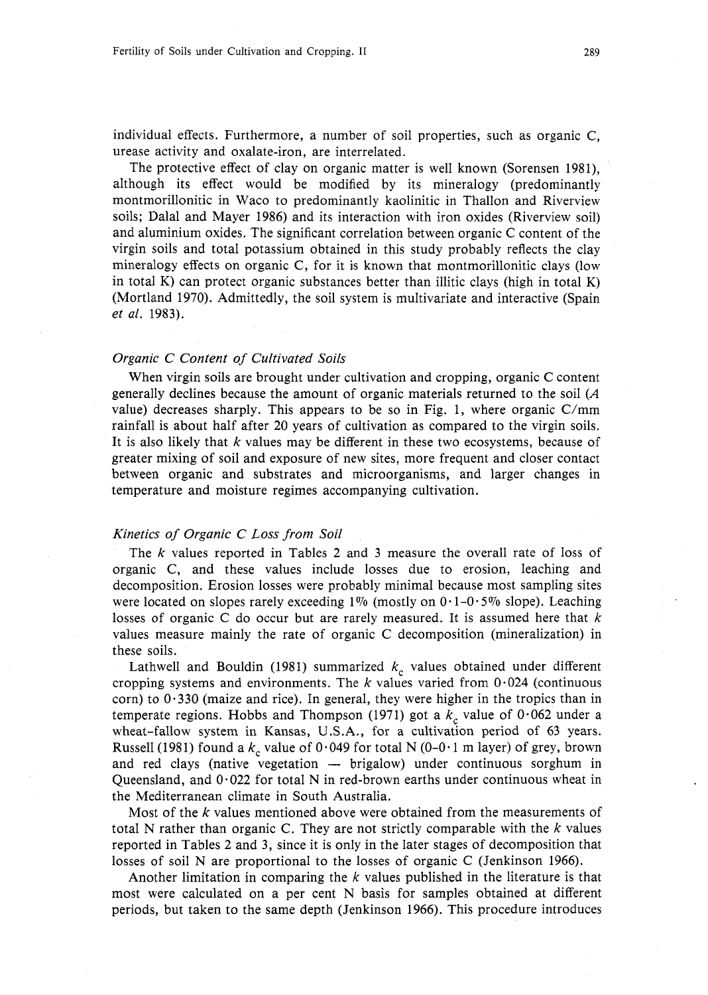individual effects. Furthermore, a number of soil properties, such as organic C, urease activity and oxalate-iron, are interrelated.

The protective effect of clay on organic matter is well known (Sorensen 1981), although its effect would be modified by its mineralogy (predominantly montmorillonitic in Waco to predominantly kaolinitic in Thallon and Riverview soils; Dalal and Mayer 1986) and its interaction with iron oxides (Riverview soil) and aluminium oxides. The significant correlation between organic C content of the virgin soils and total potassium obtained in this study probably reflects the clay mineralogy effects on organic C, for it is known that montmorillonitic clays (low in total K) can protect organic substances better than illitic clays (high in total K) (Mortland 1970). Admittedly, the soil system is multivariate and interactive (Spain *et al.* 1983).

#### *Organic C Content of Cultivated Soils*

When virgin soils are brought under cultivation and cropping, organic C content generally declines because the amount of organic materials returned to the soil *(A*  value) decreases sharply. This appears to be so in Fig. 1, where organic C/mm rainfall is about half after 20 years of cultivation as compared to the virgin soils. It is also likely that *k* values may be different in these two ecosystems, because of greater mixing of soil and exposure of new sites, more frequent and closer contact between organic and substrates and microorganisms, and larger changes in temperature and moisture regimes accompanying cultivation.

### *Kinetics of Organic C Loss from Soil*

The k values reported in Tables 2 and 3 measure the overall rate of loss of organic C, and these values include losses due to erosion, leaching and decomposition. Erosion losses were probably minimal because most sampling sites were located on slopes rarely exceeding 1% (mostly on  $0.1-0.5\%$  slope). Leaching losses of organic C do occur but are rarely measured. It is assumed here that *k*  values measure mainly the rate of organic C decomposition (mineralization) in these soils.

Lathwell and Bouldin (1981) summarized  $k<sub>c</sub>$  values obtained under different cropping systems and environments. The  $k$  values varied from  $0.024$  (continuous corn) to  $0.330$  (maize and rice). In general, they were higher in the tropics than in temperate regions. Hobbs and Thompson (1971) got a  $k_c$  value of 0.062 under a wheat-fallow system in Kansas, U.S.A., for a cultivation period of 63 years. Russell (1981) found a  $k_c$  value of 0.049 for total N (0-0.1 m layer) of grey, brown and red clays (native vegetation - brigalow) under continuous sorghum in Queensland, and  $0.022$  for total N in red-brown earths under continuous wheat in the Mediterranean climate in South Australia.

Most of the *k* values mentioned above were obtained from the measurements of total N rather than organic C. They are not strictly comparable with the  $k$  values reported in Tables 2 and 3, since it is only in the later stages of decomposition that losses of soil N are proportional to the losses of organic C (Jenkinson 1966).

Another limitation in comparing the  $k$  values published in the literature is that most were calculated on a per cent N basis for samples obtained at different periods, but taken to the same depth (Jenkinson 1966). This procedure introduces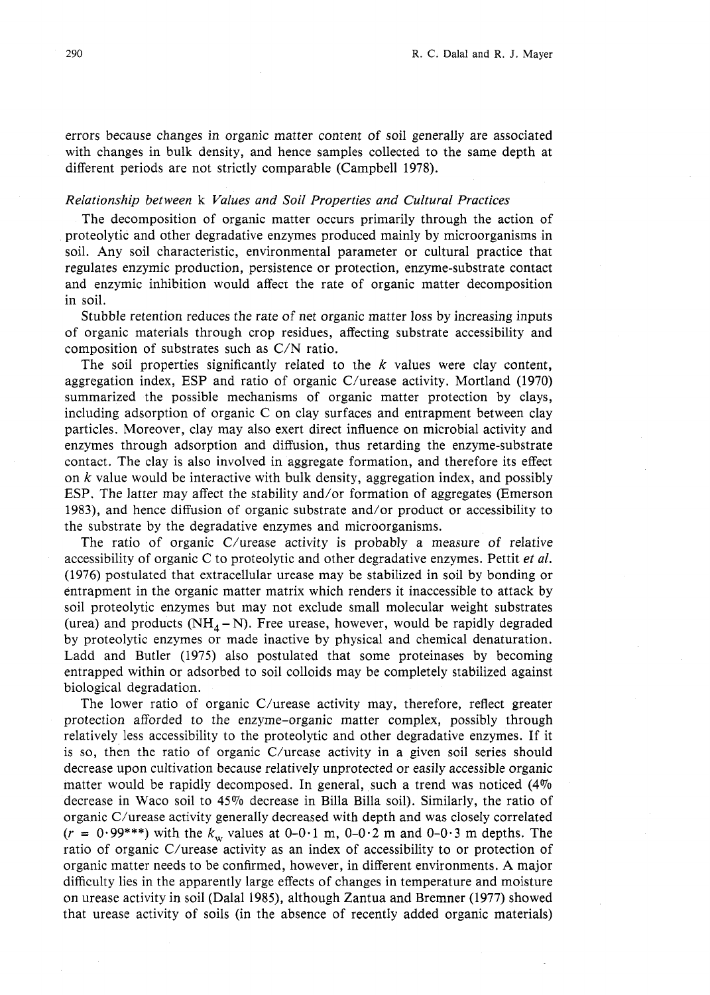errors because changes in organic matter content of soil generally are associated with changes in bulk density, and hence samples collected to the same depth at different periods are not strictly comparable (Campbell 1978).

### *Relationship between* k *Values and Soil Properties and Cultural Practices*

The decomposition of organic matter occurs primarily through the action of proteolytic and other degradative enzymes produced mainly by microorganisms in soil. Any soil characteristic, environmental parameter or cultural practice that regulates enzymic production, persistence or protection, enzyme-substrate contact and enzymic inhibition would affect the rate of organic matter decomposition in soil.

Stubble retention reduces the rate of net organic matter loss by increasing inputs of organic materials through crop residues, affecting substrate accessibility and composition of substrates such as C/N ratio.

The soil properties significantly related to the  $k$  values were clay content, aggregation index, ESP and ratio of organic  $C/\nu$  rease activity. Mortland (1970) summarized the possible mechanisms of organic matter protection by clays, including adsorption of organic C on clay surfaces and entrapment between clay particles. Moreover, clay may also exert direct influence on microbial activity and enzymes through adsorption and diffusion, thus retarding the enzyme-substrate contact. The clay is also involved in aggregate formation, and therefore its effect on  $k$  value would be interactive with bulk density, aggregation index, and possibly ESP. The latter may affect the stability and/or formation of aggregates (Emerson 1983), and hence diffusion of organic substrate and/or product or accessibility to the substrate by the degradative enzymes and microorganisms.

The ratio of organic C/urease activity is probably a measure of relative accessibility of organic C to proteolytic and other degradative enzymes. Pettit *et al.*  (1976) postulated that extracellular urease may be stabilized in soil by bonding or entrapment in the organic matter matrix which renders it inaccessible to attack by soil proteolytic enzymes but may not exclude small molecular weight substrates (urea) and products ( $NH_4-N$ ). Free urease, however, would be rapidly degraded by proteolytic enzymes or made inactive by physical and chemical denaturation. Ladd and Butler (1975) also postulated that some proteinases by becoming entrapped within or adsorbed to soil colloids may be completely stabilized against biological degradation.

The lower ratio of organic C/urease activity may, therefore, reflect greater protection afforded to the enzyme-organic matter complex, possibly through relatively less accessibility to the proteolytic and other degradative enzymes. If it is so, then the ratio of organic C/urease activity in a given soil series should decrease upon cultivation because relatively unprotected or easily accessible organic matter would be rapidly decomposed. In general, such a trend was noticed (4% decrease in Waco soil to 45% decrease in Billa Billa soil). Similarly, the ratio of organic C/urease activity generally decreased with depth and was closely correlated  $(r = 0.99***)$  with the  $k_w$  values at 0-0.1 m, 0-0.2 m and 0-0.3 m depths. The ratio of organic C/urease activity as an index of accessibility to or protection of organic matter needs to be confirmed, however, in different environments. A major difficulty lies in the apparently large effects of changes in temperature and moisture on urease activity in soil (Dalal 1985), although Zantua and Bremner (1977) showed that urease activity of soils (in the absence of recently added organic materials)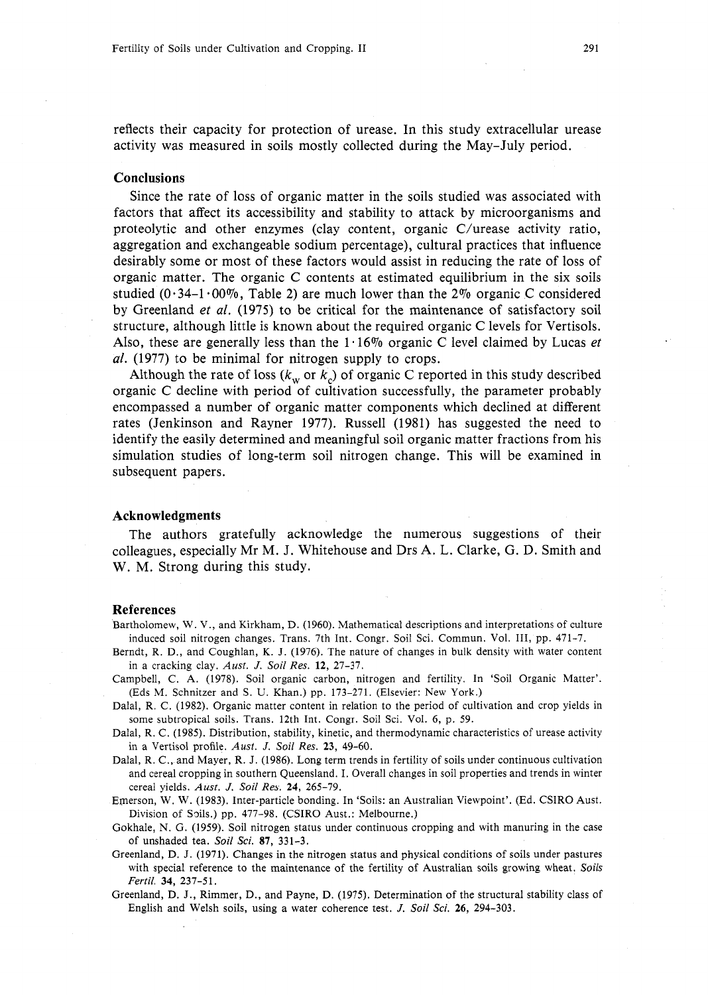reflects their capacity for protection of urease. In this study extracellular urease activity was measured in soils mostly collected during the May-July period.

### **Conclusions**

Since the rate of loss of organic matter in the soils studied was associated with factors that affect its accessibility and stability to attack by microorganisms and proteolytic and other enzymes (clay content, organic  $C/\nu$ rease activity ratio, aggregation and exchangeable sodium percentage), cultural practices that influence desirably some or most of these factors would assist in reducing the rate of loss of organic matter. The organic C contents at estimated equilibrium in the six soils studied ( $0.34-1.00\%$ , Table 2) are much lower than the 2% organic C considered by Greenland *et al.* (1975) to be critical for the maintenance of satisfactory soil structure, although little is known about the required organic C levels for Vertisols. Also, these are generally less than the 1.16% organic C level claimed by Lucas *et*  al. (1977) to be minimal for nitrogen supply to crops.

Although the rate of loss  $(k_w \text{ or } k_c)$  of organic *C* reported in this study described organic C decline with period of cultivation successfully, the parameter probably encompassed a number of organic matter components which declined at different rates (Jenkinson and Rayner 1977). Russell (1981) has suggested the need to identify the easily determined and meaningful soil organic matter fractions from his simulation studies of long-term soil nitrogen change. This will be examined in subsequent papers.

### **Acknowledgments**

The authors gratefully acknowledge the numerous suggestions of their colleagues, especially Mr M. J. Whitehouse and Drs A. L. Clarke, G. D. Smith and W. M. Strong during this study.

#### **References**

Bartholomew, W. V., and Kirkham, D. (1960). Mathematical descriptions and interpretations of culture induced soil nitrogen changes. Trans. 7th Int. Congr. Soil Sci. Commun. Vol. 111, pp. 471-7.

- Berndt, R. D., and Coughlan, K. J. (1976). The nature of changes in bulk density with water content in a cracking clay. *Aust. J. Soil Res. 12,* 27-37.
- Campbell, C. A. (1978). Soil organic carbon, nitrogen and fertility. In 'Soil Organic Matter'. (Eds M. Schnitzer and S. U. Khan.) pp. 173-271. (Elsevier: New York.)
- Dalal, R. C. (1982). Organic matter content in relation to the period of cultivation and crop yields in some subtropical soils. Trans. 12th Int. Congr. Soil Sci. Vol. 6, p. 59.
- Dalal, R. C. (1985). Distribution, stability, kinetic, and thermodynamic characteristics of urease activity in a Vertisol profile. *Aust. J. Soil Res. 23,* 49-60.
- Dalal, R. C., and Mayer, R. J. (1986). Long term trends in fertility of soils under continuous cultivation and cereal cropping in southern Queensland. I. Overall changes in soil properties and trends in winter cereal yields. *Aust. J. Soil Res. 24,* 265-79.

Emerson, W. W. (1983). Inter-particle bonding. In 'Soils: an Australian Viewpoint'. (Ed. CSIRO Aust. Division of Snils.) pp. 477-98. (CSIRO Aust.: Melbourne.)

- Gokhale, N. G. (1959). Soil nitrogen status under continuous cropping and with manuring in the case of unshaded tea. *Soil Sci.* 87, 331-3.
- Greenland, D. J. (1971). Changes in the nitrogen status and physical conditions of soils under pastures with special reference to the maintenance of the fertility of Australian soils growing wheat. *Soils Fertil.* 34, 237-51.
- Greenland, D. J., Rimmer, D., and Payne, D. (1975). Determination of the structural stability class of English and Welsh soils, using a water coherence test. *J. Soil Sci.* **26,** 294-303.